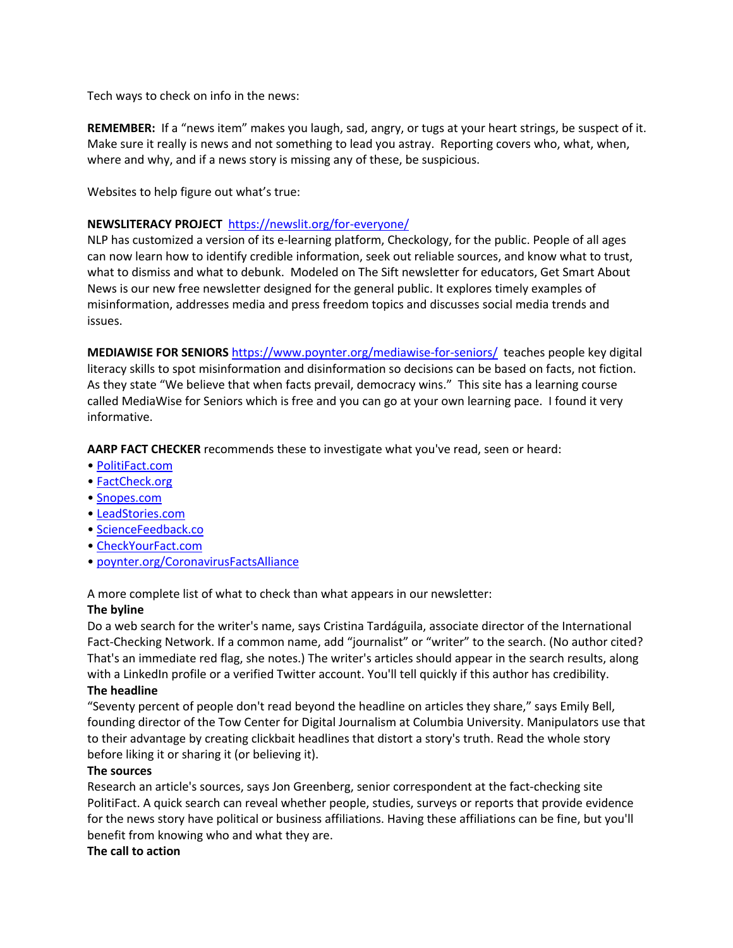Tech ways to check on info in the news:

**REMEMBER:** If a "news item" makes you laugh, sad, angry, or tugs at your heart strings, be suspect of it. Make sure it really is news and not something to lead you astray. Reporting covers who, what, when, where and why, and if a news story is missing any of these, be suspicious.

Websites to help figure out what's true:

## **NEWSLITERACY PROJECT** https://newslit.org/for-everyone/

NLP has customized a version of its e-learning platform, Checkology, for the public. People of all ages can now learn how to identify credible information, seek out reliable sources, and know what to trust, what to dismiss and what to debunk. Modeled on The Sift newsletter for educators, Get Smart About News is our new free newsletter designed for the general public. It explores timely examples of misinformation, addresses media and press freedom topics and discusses social media trends and issues.

**MEDIAWISE FOR SENIORS** https://www.poynter.org/mediawise-for-seniors/ teaches people key digital literacy skills to spot misinformation and disinformation so decisions can be based on facts, not fiction. As they state "We believe that when facts prevail, democracy wins." This site has a learning course called MediaWise for Seniors which is free and you can go at your own learning pace. I found it very informative.

**AARP FACT CHECKER** recommends these to investigate what you've read, seen or heard:

- PolitiFact.com
- FactCheck.org
- Snopes.com
- LeadStories.com
- ScienceFeedback.co
- CheckYourFact.com
- poynter.org/CoronavirusFactsAlliance

A more complete list of what to check than what appears in our newsletter:

# **The byline**

Do a web search for the writer's name, says Cristina Tardáguila, associate director of the International Fact-Checking Network. If a common name, add "journalist" or "writer" to the search. (No author cited? That's an immediate red flag, she notes.) The writer's articles should appear in the search results, along with a LinkedIn profile or a verified Twitter account. You'll tell quickly if this author has credibility. **The headline**

"Seventy percent of people don't read beyond the headline on articles they share," says Emily Bell, founding director of the Tow Center for Digital Journalism at Columbia University. Manipulators use that to their advantage by creating clickbait headlines that distort a story's truth. Read the whole story before liking it or sharing it (or believing it).

#### **The sources**

Research an article's sources, says Jon Greenberg, senior correspondent at the fact-checking site PolitiFact. A quick search can reveal whether people, studies, surveys or reports that provide evidence for the news story have political or business affiliations. Having these affiliations can be fine, but you'll benefit from knowing who and what they are.

#### **The call to action**